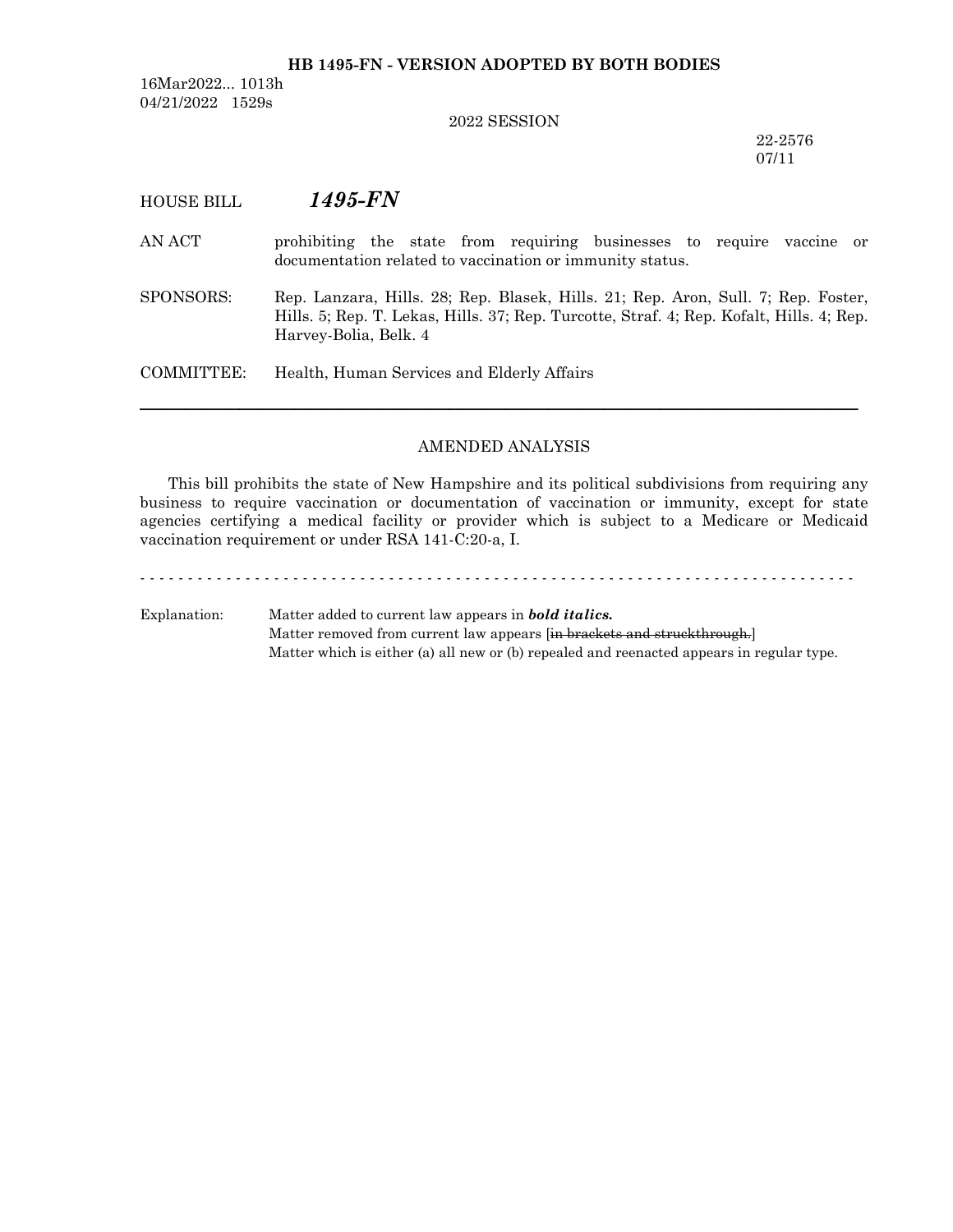#### **HB 1495-FN - VERSION ADOPTED BY BOTH BODIES**

16Mar2022... 1013h 04/21/2022 1529s

#### 2022 SESSION

22-2576 07/11

### HOUSE BILL *1495-FN*

- AN ACT prohibiting the state from requiring businesses to require vaccine or documentation related to vaccination or immunity status.
- SPONSORS: Rep. Lanzara, Hills. 28; Rep. Blasek, Hills. 21; Rep. Aron, Sull. 7; Rep. Foster, Hills. 5; Rep. T. Lekas, Hills. 37; Rep. Turcotte, Straf. 4; Rep. Kofalt, Hills. 4; Rep. Harvey-Bolia, Belk. 4

COMMITTEE: Health, Human Services and Elderly Affairs

### AMENDED ANALYSIS

─────────────────────────────────────────────────────────────────

This bill prohibits the state of New Hampshire and its political subdivisions from requiring any business to require vaccination or documentation of vaccination or immunity, except for state agencies certifying a medical facility or provider which is subject to a Medicare or Medicaid vaccination requirement or under RSA 141-C:20-a, I.

Explanation: Matter added to current law appears in *bold italics.* Matter removed from current law appears [in brackets and struckthrough.] Matter which is either (a) all new or (b) repealed and reenacted appears in regular type.

- - - - - - - - - - - - - - - - - - - - - - - - - - - - - - - - - - - - - - - - - - - - - - - - - - - - - - - - - - - - - - - - - - - - - - - - - - -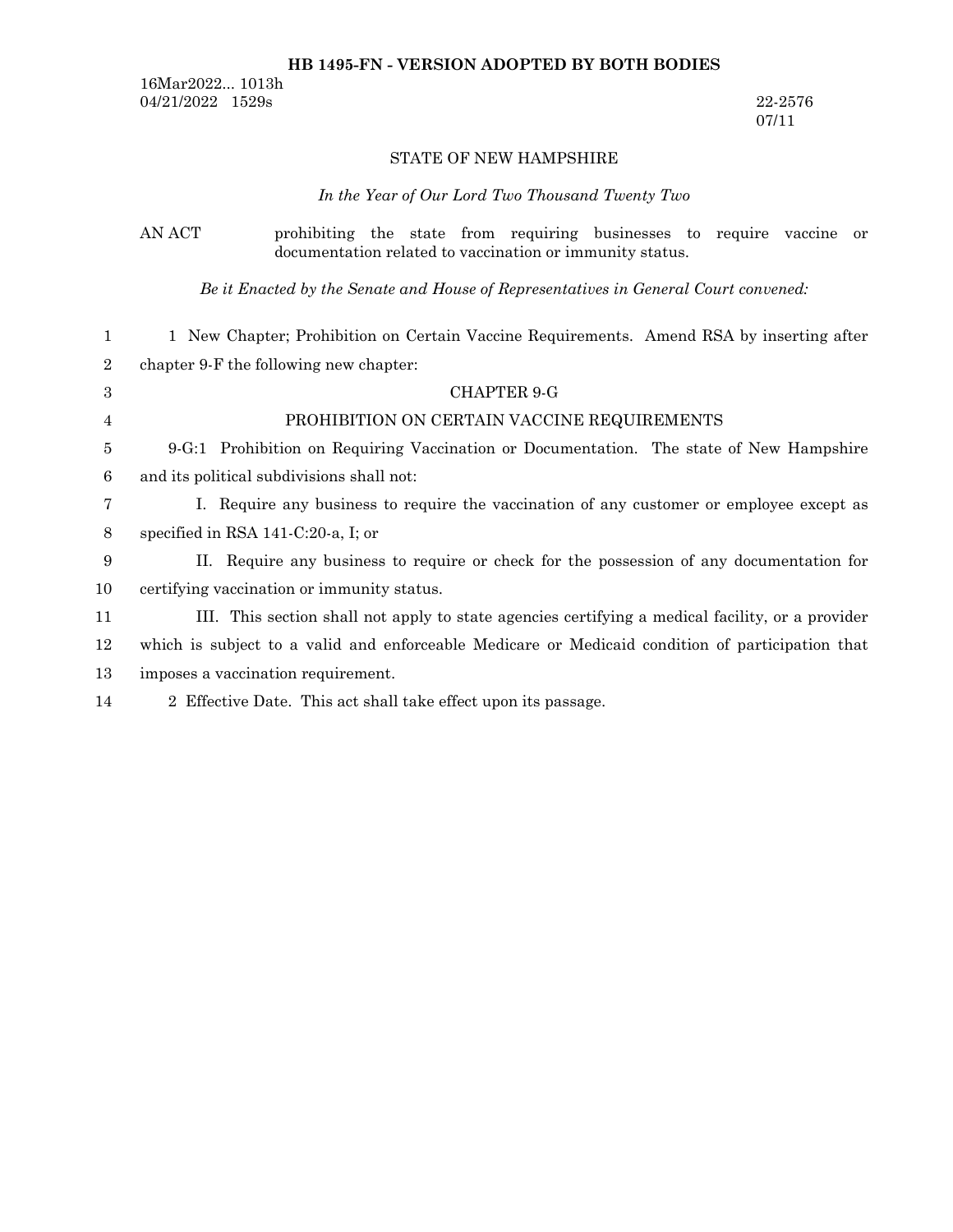### **HB 1495-FN - VERSION ADOPTED BY BOTH BODIES**

16Mar2022... 1013h 04/21/2022 1529s 22-2576

07/11

### STATE OF NEW HAMPSHIRE

# *In the Year of Our Lord Two Thousand Twenty Two*

|                | AN ACT<br>prohibiting the state from requiring businesses to require vaccine<br>or<br>documentation related to vaccination or immunity status. |
|----------------|------------------------------------------------------------------------------------------------------------------------------------------------|
|                | Be it Enacted by the Senate and House of Representatives in General Court convened:                                                            |
| 1              | 1 New Chapter; Prohibition on Certain Vaccine Requirements. Amend RSA by inserting after                                                       |
| $\overline{2}$ | chapter 9-F the following new chapter:                                                                                                         |
| 3              | <b>CHAPTER 9-G</b>                                                                                                                             |
| 4              | PROHIBITION ON CERTAIN VACCINE REQUIREMENTS                                                                                                    |
| 5              | 9-G:1 Prohibition on Requiring Vaccination or Documentation. The state of New Hampshire                                                        |
| 6              | and its political subdivisions shall not:                                                                                                      |
| 7              | I. Require any business to require the vaccination of any customer or employee except as                                                       |
| $8\phantom{1}$ | specified in RSA $141-C:20-a$ , I; or                                                                                                          |
| 9              | II. Require any business to require or check for the possession of any documentation for                                                       |
| 10             | certifying vaccination or immunity status.                                                                                                     |
| 11             | III. This section shall not apply to state agencies certifying a medical facility, or a provider                                               |
| 12             | which is subject to a valid and enforceable Medicare or Medicaid condition of participation that                                               |
| 13             | imposes a vaccination requirement.                                                                                                             |

2 Effective Date. This act shall take effect upon its passage. 14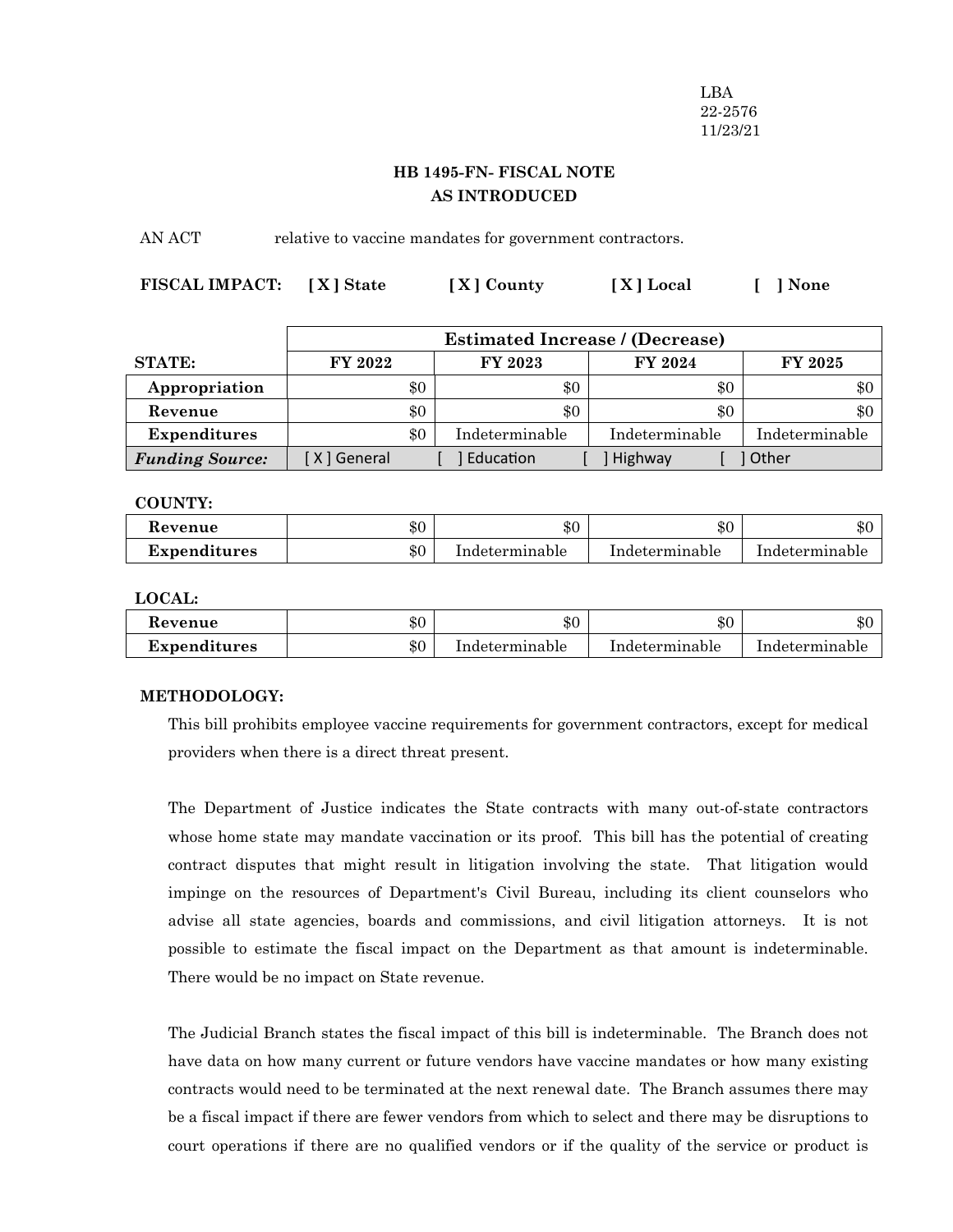LBA 22-2576 11/23/21

# **HB 1495-FN- FISCAL NOTE AS INTRODUCED**

AN ACT relative to vaccine mandates for government contractors.

| FISCAL IMPACT: [X] State | [X] County | [X] Local | $\begin{bmatrix} \end{bmatrix}$ None |
|--------------------------|------------|-----------|--------------------------------------|
|                          |            |           |                                      |

|                        | <b>Estimated Increase / (Decrease)</b> |     |                |                |                |
|------------------------|----------------------------------------|-----|----------------|----------------|----------------|
| <b>STATE:</b>          | FY 2022                                |     | FY 2023        | FY 2024        | <b>FY 2025</b> |
| Appropriation          |                                        | \$0 | \$0            | \$0            | \$0            |
| Revenue                |                                        | \$0 | \$0            | \$0            | \$0            |
| <b>Expenditures</b>    |                                        | \$0 | Indeterminable | Indeterminable | Indeterminable |
| <b>Funding Source:</b> | [ X ] General                          |     | Education      | Highway        | Other          |

#### **COUNTY:**

| Revenue             | $\$0$ | ። ው<br>ъU      | ሱስ<br>ক্ত      | $\triangle$ r<br>কা. |
|---------------------|-------|----------------|----------------|----------------------|
| <b>Expenditures</b> | $\$0$ | Indeterminable | Indeterminable | Indeterminable       |

**LOCAL:**

| Revenue      | \$0   | \$С            | \$0            | ሐ ∩<br>.DU     |
|--------------|-------|----------------|----------------|----------------|
| Expenditures | $\$0$ | Indeterminable | Indeterminable | Indeterminable |

### **METHODOLOGY:**

This bill prohibits employee vaccine requirements for government contractors, except for medical providers when there is a direct threat present.

The Department of Justice indicates the State contracts with many out-of-state contractors whose home state may mandate vaccination or its proof. This bill has the potential of creating contract disputes that might result in litigation involving the state. That litigation would impinge on the resources of Department's Civil Bureau, including its client counselors who advise all state agencies, boards and commissions, and civil litigation attorneys. It is not possible to estimate the fiscal impact on the Department as that amount is indeterminable. There would be no impact on State revenue.

The Judicial Branch states the fiscal impact of this bill is indeterminable. The Branch does not have data on how many current or future vendors have vaccine mandates or how many existing contracts would need to be terminated at the next renewal date. The Branch assumes there may be a fiscal impact if there are fewer vendors from which to select and there may be disruptions to court operations if there are no qualified vendors or if the quality of the service or product is